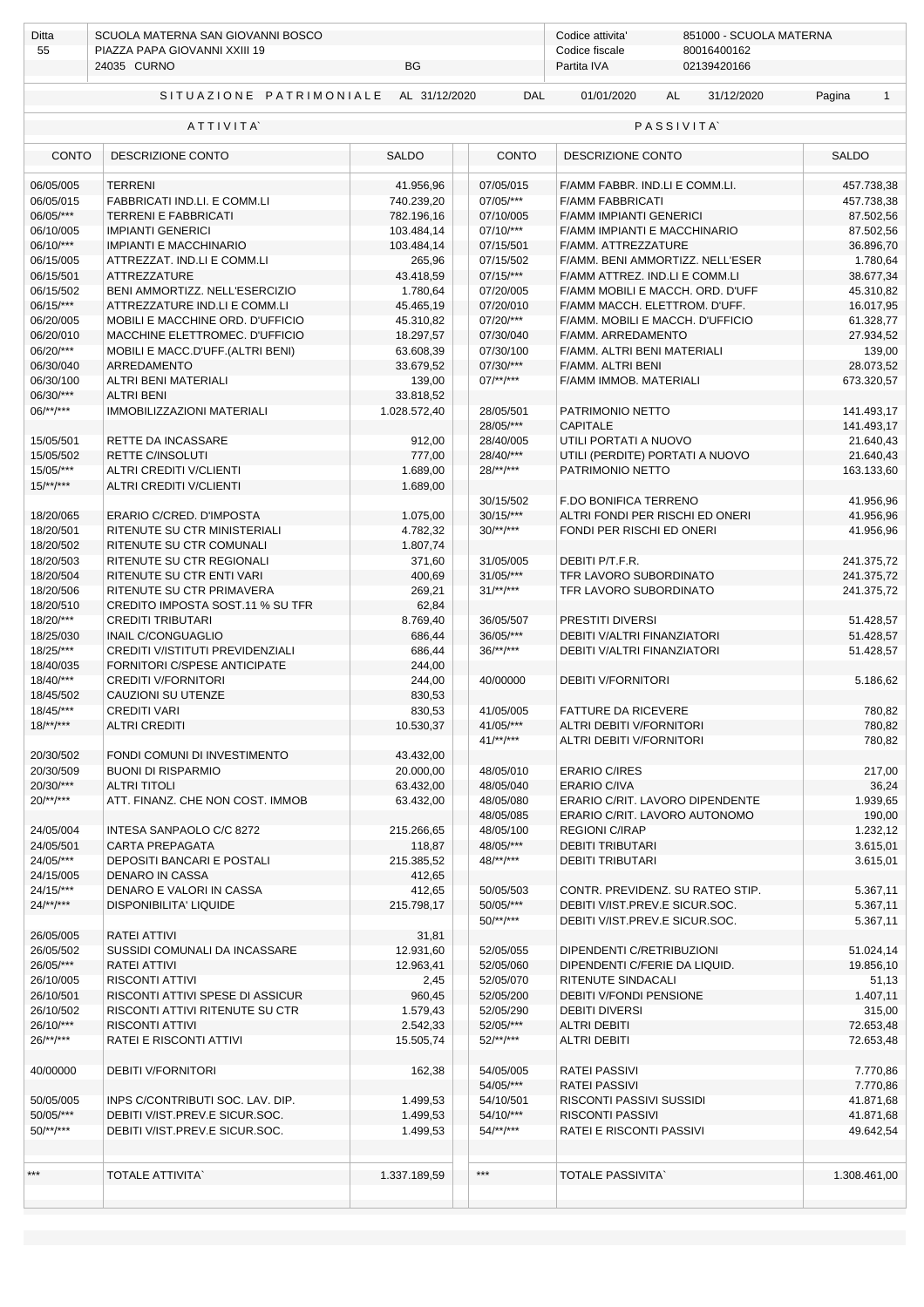| Ditta<br>55            | SCUOLA MATERNA SAN GIOVANNI BOSCO<br>PIAZZA PAPA GIOVANNI XXIII 19<br>24035 CURNO<br>BG |                      |                              | Codice attivita'<br>851000 - SCUOLA MATERNA<br>Codice fiscale<br>80016400162<br>02139420166<br>Partita IVA |                        |  |  |  |
|------------------------|-----------------------------------------------------------------------------------------|----------------------|------------------------------|------------------------------------------------------------------------------------------------------------|------------------------|--|--|--|
|                        |                                                                                         |                      |                              |                                                                                                            |                        |  |  |  |
|                        | SITUAZIONE PATRIMONIALE AL 31/12/2020                                                   |                      | <b>DAL</b>                   | 01/01/2020<br>31/12/2020<br>AL                                                                             | Pagina<br>$\mathbf{1}$ |  |  |  |
|                        | ATTIVITA                                                                                |                      |                              | <b>PASSIVITA</b>                                                                                           |                        |  |  |  |
| <b>CONTO</b>           | DESCRIZIONE CONTO                                                                       | <b>SALDO</b>         | <b>CONTO</b>                 | DESCRIZIONE CONTO                                                                                          | <b>SALDO</b>           |  |  |  |
| 06/05/005              | <b>TERRENI</b>                                                                          | 41.956,96            | 07/05/015                    | F/AMM FABBR. IND.LI E COMM.LI.                                                                             | 457.738,38             |  |  |  |
| 06/05/015              | FABBRICATI IND.LI. E COMM.LI                                                            | 740.239,20           | 07/05/***                    | <b>F/AMM FABBRICATI</b>                                                                                    | 457.738,38             |  |  |  |
| 06/05/***              | <b>TERRENI E FABBRICATI</b>                                                             | 782.196,16           | 07/10/005                    | <b>F/AMM IMPIANTI GENERICI</b>                                                                             | 87.502,56              |  |  |  |
| 06/10/005              | <b>IMPIANTI GENERICI</b>                                                                | 103.484,14           | $07/10$ /***                 | F/AMM IMPIANTI E MACCHINARIO                                                                               | 87.502,56              |  |  |  |
| $06/10$ /***           | <b>IMPIANTI E MACCHINARIO</b>                                                           | 103.484,14<br>265,96 | 07/15/501<br>07/15/502       | F/AMM. ATTREZZATURE                                                                                        | 36.896,70              |  |  |  |
| 06/15/005<br>06/15/501 | ATTREZZAT. IND.LI E COMM.LI<br>ATTREZZATURE                                             | 43.418,59            | $07/15$ /***                 | F/AMM. BENI AMMORTIZZ. NELL'ESER<br>F/AMM ATTREZ. IND.LI E COMM.LI                                         | 1.780,64<br>38.677,34  |  |  |  |
| 06/15/502              | BENI AMMORTIZZ. NELL'ESERCIZIO                                                          | 1.780,64             | 07/20/005                    | F/AMM MOBILI E MACCH. ORD. D'UFF                                                                           | 45.310,82              |  |  |  |
| 06/15/***              | ATTREZZATURE IND.LI E COMM.LI                                                           | 45.465,19            | 07/20/010                    | F/AMM MACCH. ELETTROM. D'UFF.                                                                              | 16.017,95              |  |  |  |
| 06/20/005              | MOBILI E MACCHINE ORD. D'UFFICIO                                                        | 45.310,82            | 07/20/***                    | F/AMM. MOBILI E MACCH. D'UFFICIO                                                                           | 61.328,77              |  |  |  |
| 06/20/010              | MACCHINE ELETTROMEC. D'UFFICIO                                                          | 18.297,57            | 07/30/040                    | F/AMM. ARREDAMENTO                                                                                         | 27.934,52              |  |  |  |
| 06/20/***              | MOBILI E MACC.D'UFF.(ALTRI BENI)                                                        | 63.608,39            | 07/30/100                    | F/AMM. ALTRI BENI MATERIALI                                                                                | 139,00                 |  |  |  |
| 06/30/040              | ARREDAMENTO                                                                             | 33.679,52            | 07/30/***                    | F/AMM. ALTRI BENI                                                                                          | 28.073,52              |  |  |  |
| 06/30/100              | <b>ALTRI BENI MATERIALI</b>                                                             | 139,00               | $07$ /**/***                 | F/AMM IMMOB. MATERIALI                                                                                     | 673.320,57             |  |  |  |
| 06/30/***              | <b>ALTRI BENI</b>                                                                       | 33.818,52            |                              |                                                                                                            |                        |  |  |  |
| $06$ /**/***           | <b>IMMOBILIZZAZIONI MATERIALI</b>                                                       | 1.028.572,40         | 28/05/501                    | PATRIMONIO NETTO                                                                                           | 141.493,17             |  |  |  |
|                        |                                                                                         |                      | 28/05/***                    | <b>CAPITALE</b>                                                                                            | 141.493,17             |  |  |  |
| 15/05/501              | RETTE DA INCASSARE                                                                      | 912,00               | 28/40/005                    | UTILI PORTATI A NUOVO                                                                                      | 21.640,43              |  |  |  |
| 15/05/502              | <b>RETTE C/INSOLUTI</b>                                                                 | 777,00               | 28/40/***                    | UTILI (PERDITE) PORTATI A NUOVO                                                                            | 21.640,43              |  |  |  |
| 15/05/***              | <b>ALTRI CREDITI V/CLIENTI</b>                                                          | 1.689,00             | $28$ /**/***                 | PATRIMONIO NETTO                                                                                           | 163.133,60             |  |  |  |
| $15/**/***$            | ALTRI CREDITI V/CLIENTI                                                                 | 1.689,00             |                              |                                                                                                            |                        |  |  |  |
|                        |                                                                                         |                      | 30/15/502                    | F.DO BONIFICA TERRENO                                                                                      | 41.956,96              |  |  |  |
| 18/20/065<br>18/20/501 | ERARIO C/CRED. D'IMPOSTA<br>RITENUTE SU CTR MINISTERIALI                                | 1.075,00<br>4.782,32 | $30/15$ /***<br>$30$ /**/*** | ALTRI FONDI PER RISCHI ED ONERI<br>FONDI PER RISCHI ED ONERI                                               | 41.956,96<br>41.956,96 |  |  |  |
| 18/20/502              | RITENUTE SU CTR COMUNALI                                                                | 1.807,74             |                              |                                                                                                            |                        |  |  |  |
| 18/20/503              | RITENUTE SU CTR REGIONALI                                                               | 371,60               | 31/05/005                    | DEBITI P/T.F.R.                                                                                            | 241.375,72             |  |  |  |
| 18/20/504              | RITENUTE SU CTR ENTI VARI                                                               | 400,69               | $31/05$ /***                 | TFR LAVORO SUBORDINATO                                                                                     | 241.375,72             |  |  |  |
| 18/20/506              | RITENUTE SU CTR PRIMAVERA                                                               | 269,21               | $31$ /**/***                 | TFR LAVORO SUBORDINATO                                                                                     | 241.375,72             |  |  |  |
| 18/20/510              | CREDITO IMPOSTA SOST.11 % SU TFR                                                        | 62,84                |                              |                                                                                                            |                        |  |  |  |
| 18/20/***              | CREDITI TRIBUTARI                                                                       | 8.769,40             | 36/05/507                    | PRESTITI DIVERSI                                                                                           | 51.428,57              |  |  |  |
| 18/25/030              | INAIL C/CONGUAGLIO                                                                      | 686,44               | 36/05/***                    | DEBITI V/ALTRI FINANZIATORI                                                                                | 51.428,57              |  |  |  |
| 18/25/***              | <b>CREDITI V/ISTITUTI PREVIDENZIALI</b>                                                 | 686,44               | $36$ /**/***                 | DEBITI V/ALTRI FINANZIATORI                                                                                | 51.428,57              |  |  |  |
| 18/40/035              | FORNITORI C/SPESE ANTICIPATE                                                            | 244,00               |                              |                                                                                                            |                        |  |  |  |
| 18/40/***              | <b>CREDITI V/FORNITORI</b>                                                              | 244,00               | 40/00000                     | <b>DEBITI V/FORNITORI</b>                                                                                  | 5.186,62               |  |  |  |
| 18/45/502              | CAUZIONI SU UTENZE                                                                      | 830,53               |                              |                                                                                                            |                        |  |  |  |
| 18/45/***              | <b>CREDITI VARI</b>                                                                     | 830,53               | 41/05/005                    | <b>FATTURE DA RICEVERE</b>                                                                                 | 780,82                 |  |  |  |
| $18$ /**/***           | <b>ALTRI CREDITI</b>                                                                    | 10.530,37            | $41/05$ /***                 | ALTRI DEBITI V/FORNITORI                                                                                   | 780,82                 |  |  |  |
|                        |                                                                                         |                      | $41^{***}$                   | ALTRI DEBITI V/FORNITORI                                                                                   | 780,82                 |  |  |  |
| 20/30/502              | FONDI COMUNI DI INVESTIMENTO                                                            | 43.432,00            |                              |                                                                                                            |                        |  |  |  |
| 20/30/509              | <b>BUONI DI RISPARMIO</b>                                                               | 20.000,00            | 48/05/010                    | <b>ERARIO C/IRES</b>                                                                                       | 217,00                 |  |  |  |
| 20/30/***              | <b>ALTRI TITOLI</b>                                                                     | 63.432,00            | 48/05/040                    | <b>ERARIO C/IVA</b>                                                                                        | 36,24                  |  |  |  |
| $20$ /**/***           | ATT. FINANZ. CHE NON COST. IMMOB                                                        | 63.432,00            | 48/05/080<br>48/05/085       | ERARIO C/RIT. LAVORO DIPENDENTE<br>ERARIO C/RIT. LAVORO AUTONOMO                                           | 1.939,65<br>190,00     |  |  |  |
| 24/05/004              | INTESA SANPAOLO C/C 8272                                                                | 215.266,65           | 48/05/100                    | <b>REGIONI C/IRAP</b>                                                                                      | 1.232,12               |  |  |  |
| 24/05/501              | <b>CARTA PREPAGATA</b>                                                                  | 118,87               | 48/05/***                    | <b>DEBITI TRIBUTARI</b>                                                                                    | 3.615,01               |  |  |  |
| 24/05/***              | DEPOSITI BANCARI E POSTALI                                                              | 215.385,52           | $48$ /**/***                 | <b>DEBITI TRIBUTARI</b>                                                                                    | 3.615,01               |  |  |  |
| 24/15/005              | <b>DENARO IN CASSA</b>                                                                  | 412,65               |                              |                                                                                                            |                        |  |  |  |
| 24/15/***              | DENARO E VALORI IN CASSA                                                                | 412,65               | 50/05/503                    | CONTR. PREVIDENZ. SU RATEO STIP.                                                                           | 5.367,11               |  |  |  |
| $24$ /**/***           | <b>DISPONIBILITA' LIQUIDE</b>                                                           | 215.798,17           | 50/05/***                    | DEBITI V/IST.PREV.E SICUR.SOC.                                                                             | 5.367,11               |  |  |  |
|                        |                                                                                         |                      | $50$ /**/***                 | DEBITI V/IST.PREV.E SICUR.SOC.                                                                             | 5.367,11               |  |  |  |
| 26/05/005              | RATEI ATTIVI                                                                            | 31,81                |                              |                                                                                                            |                        |  |  |  |
| 26/05/502              | SUSSIDI COMUNALI DA INCASSARE                                                           | 12.931,60            | 52/05/055                    | DIPENDENTI C/RETRIBUZIONI                                                                                  | 51.024,14              |  |  |  |
| 26/05/***              | RATEI ATTIVI                                                                            | 12.963,41            | 52/05/060                    | DIPENDENTI C/FERIE DA LIQUID.                                                                              | 19.856,10              |  |  |  |
| 26/10/005              | <b>RISCONTI ATTIVI</b>                                                                  | 2,45                 | 52/05/070                    | RITENUTE SINDACALI                                                                                         | 51,13                  |  |  |  |
| 26/10/501              | RISCONTI ATTIVI SPESE DI ASSICUR                                                        | 960,45               | 52/05/200                    | DEBITI V/FONDI PENSIONE                                                                                    | 1.407,11               |  |  |  |
| 26/10/502              | RISCONTI ATTIVI RITENUTE SU CTR                                                         | 1.579,43             | 52/05/290                    | <b>DEBITI DIVERSI</b>                                                                                      | 315,00                 |  |  |  |
| 26/10/***              | <b>RISCONTI ATTIVI</b>                                                                  | 2.542,33             | 52/05/***                    | <b>ALTRI DEBITI</b>                                                                                        | 72.653,48              |  |  |  |
| $26$ /**/***           | RATEI E RISCONTI ATTIVI                                                                 | 15.505,74            | $52$ /**/***                 | <b>ALTRI DEBITI</b>                                                                                        | 72.653,48              |  |  |  |
|                        |                                                                                         |                      |                              |                                                                                                            |                        |  |  |  |
| 40/00000               | <b>DEBITI V/FORNITORI</b>                                                               | 162,38               | 54/05/005                    | <b>RATEI PASSIVI</b>                                                                                       | 7.770,86               |  |  |  |
|                        |                                                                                         |                      | 54/05/***                    | <b>RATEI PASSIVI</b>                                                                                       | 7.770,86               |  |  |  |
| 50/05/005<br>50/05/*** | INPS C/CONTRIBUTI SOC. LAV. DIP.                                                        | 1.499,53             | 54/10/501<br>54/10/***       | RISCONTI PASSIVI SUSSIDI                                                                                   | 41.871,68              |  |  |  |
| $50$ /**/***           | DEBITI V/IST.PREV.E SICUR.SOC.<br>DEBITI V/IST.PREV.E SICUR.SOC.                        | 1.499,53             | $54$ /**/***                 | <b>RISCONTI PASSIVI</b>                                                                                    | 41.871,68              |  |  |  |
|                        |                                                                                         | 1.499,53             |                              | RATEI E RISCONTI PASSIVI                                                                                   | 49.642,54              |  |  |  |
|                        |                                                                                         |                      |                              |                                                                                                            |                        |  |  |  |
| ***                    | <b>TOTALE ATTIVITA</b>                                                                  | 1.337.189,59         | $***$                        | <b>TOTALE PASSIVITA</b>                                                                                    | 1.308.461,00           |  |  |  |
|                        |                                                                                         |                      |                              |                                                                                                            |                        |  |  |  |
|                        |                                                                                         |                      |                              |                                                                                                            |                        |  |  |  |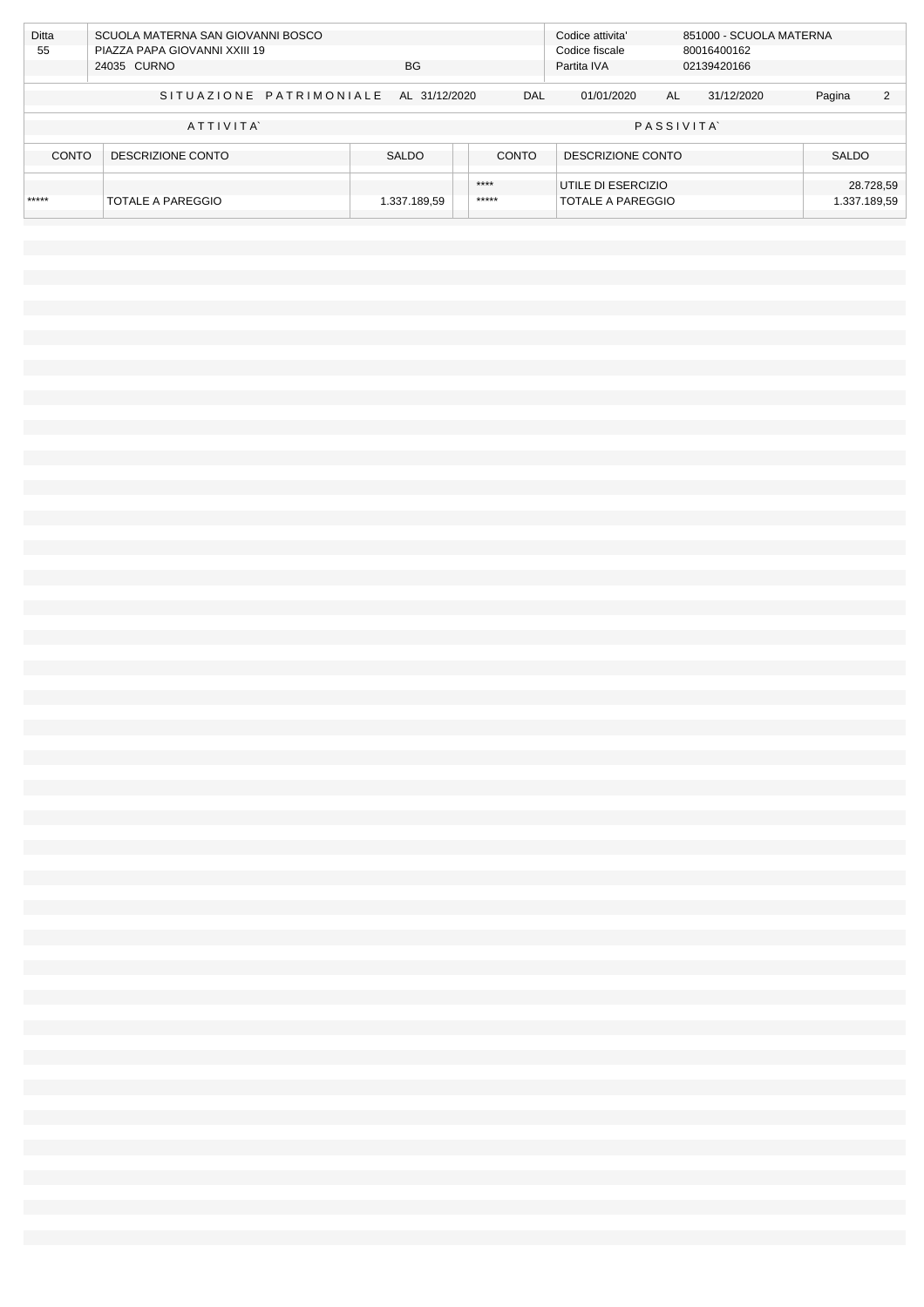| <b>Ditta</b> | SCUOLA MATERNA SAN GIOVANNI BOSCO     |              |  |                | Codice attivita'   | 851000 - SCUOLA MATERNA |            |              |              |
|--------------|---------------------------------------|--------------|--|----------------|--------------------|-------------------------|------------|--------------|--------------|
| 55           | PIAZZA PAPA GIOVANNI XXIII 19         |              |  | Codice fiscale | 80016400162        |                         |            |              |              |
|              | 24035 CURNO                           | <b>BG</b>    |  |                | Partita IVA        | 02139420166             |            |              |              |
|              |                                       |              |  |                |                    |                         |            |              |              |
|              | SITUAZIONE PATRIMONIALE AL 31/12/2020 |              |  | DAL            | 01/01/2020         | AL                      | 31/12/2020 | Pagina       | 2            |
|              |                                       |              |  |                |                    |                         |            |              |              |
| ATTIVITA     |                                       |              |  |                | <b>PASSIVITA</b>   |                         |            |              |              |
|              |                                       |              |  |                |                    |                         |            |              |              |
| CONTO        | DESCRIZIONE CONTO                     | <b>SALDO</b> |  | <b>CONTO</b>   | DESCRIZIONE CONTO  |                         |            | <b>SALDO</b> |              |
|              |                                       |              |  |                |                    |                         |            |              |              |
|              |                                       |              |  | ****           | UTILE DI ESERCIZIO |                         |            |              | 28.728,59    |
| *****        | <b>TOTALE A PAREGGIO</b>              | 1.337.189,59 |  | *****          | TOTALE A PAREGGIO  |                         |            |              | 1.337.189,59 |
|              |                                       |              |  |                |                    |                         |            |              |              |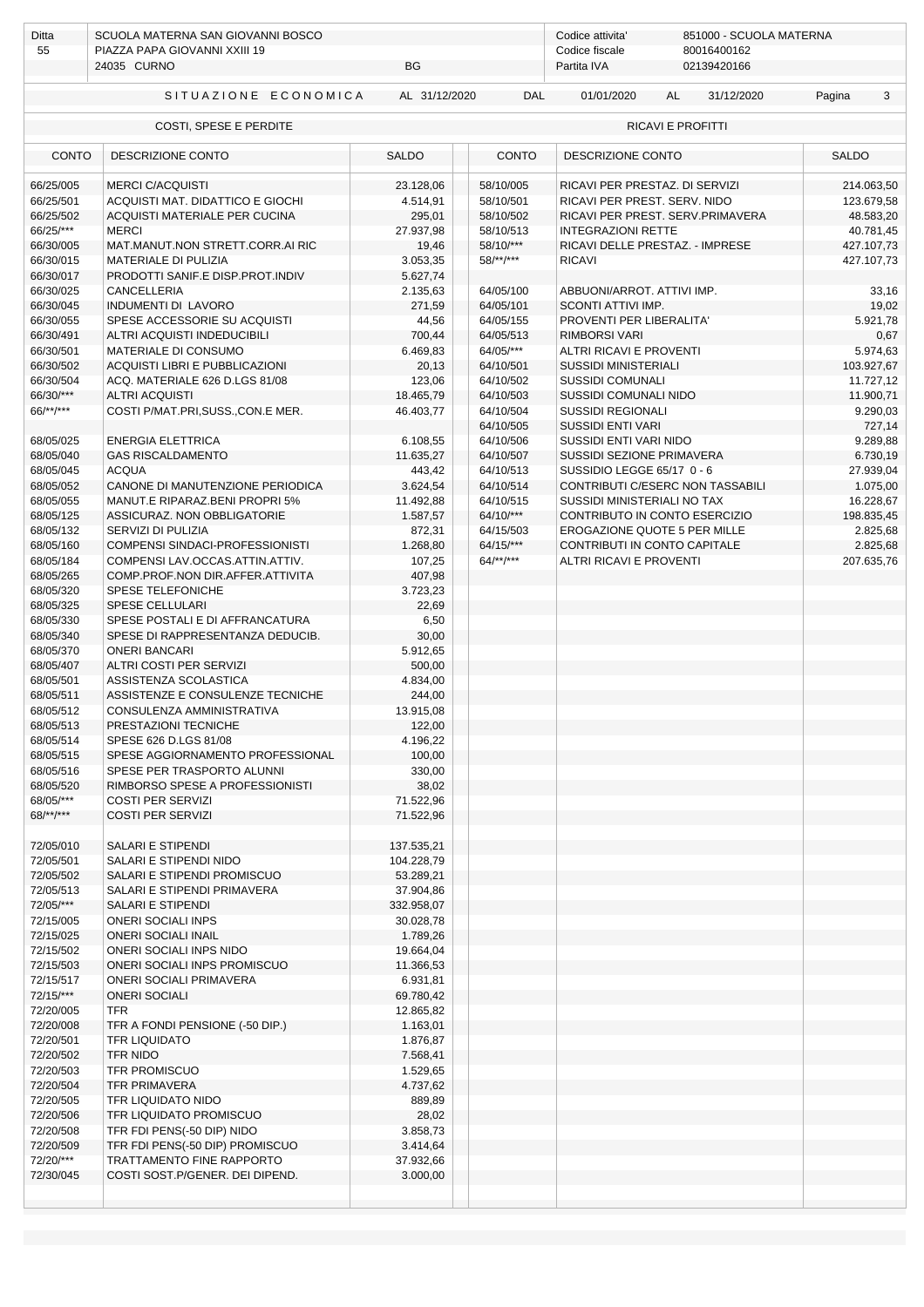| Ditta<br>55            | SCUOLA MATERNA SAN GIOVANNI BOSCO<br>PIAZZA PAPA GIOVANNI XXIII 19<br>BG<br>24035 CURNO |                        |                        | Codice attivita'<br>851000 - SCUOLA MATERNA<br>80016400162<br>Codice fiscale<br>Partita IVA<br>02139420166 |                         |  |  |  |
|------------------------|-----------------------------------------------------------------------------------------|------------------------|------------------------|------------------------------------------------------------------------------------------------------------|-------------------------|--|--|--|
|                        |                                                                                         |                        |                        |                                                                                                            |                         |  |  |  |
|                        | SITUAZIONE ECONOMICA                                                                    | AL 31/12/2020          | DAL                    | 01/01/2020<br>AL<br>31/12/2020                                                                             | Pagina<br>3             |  |  |  |
|                        | COSTI, SPESE E PERDITE                                                                  |                        |                        | RICAVI E PROFITTI                                                                                          |                         |  |  |  |
| <b>CONTO</b>           | DESCRIZIONE CONTO                                                                       | <b>SALDO</b>           | <b>CONTO</b>           | DESCRIZIONE CONTO                                                                                          | <b>SALDO</b>            |  |  |  |
| 66/25/005              | <b>MERCI C/ACQUISTI</b>                                                                 | 23.128,06              | 58/10/005              | RICAVI PER PRESTAZ. DI SERVIZI                                                                             | 214.063,50              |  |  |  |
| 66/25/501<br>66/25/502 | ACQUISTI MAT. DIDATTICO E GIOCHI<br>ACQUISTI MATERIALE PER CUCINA                       | 4.514,91<br>295,01     | 58/10/501<br>58/10/502 | RICAVI PER PREST. SERV. NIDO<br>RICAVI PER PREST. SERV.PRIMAVERA                                           | 123.679,58<br>48.583,20 |  |  |  |
| 66/25/***              | <b>MERCI</b>                                                                            | 27.937,98              | 58/10/513              | <b>INTEGRAZIONI RETTE</b>                                                                                  | 40.781,45               |  |  |  |
| 66/30/005              | MAT.MANUT.NON STRETT.CORR.AI RIC                                                        | 19,46                  | 58/10/***              | RICAVI DELLE PRESTAZ. - IMPRESE                                                                            | 427.107,73              |  |  |  |
| 66/30/015              | MATERIALE DI PULIZIA                                                                    | 3.053,35               | $58$ /**/***           | <b>RICAVI</b>                                                                                              | 427.107,73              |  |  |  |
| 66/30/017              | PRODOTTI SANIF.E DISP.PROT.INDIV                                                        | 5.627,74               |                        |                                                                                                            |                         |  |  |  |
| 66/30/025              | CANCELLERIA                                                                             | 2.135,63               | 64/05/100              | ABBUONI/ARROT. ATTIVI IMP.                                                                                 | 33,16                   |  |  |  |
| 66/30/045<br>66/30/055 | INDUMENTI DI LAVORO<br>SPESE ACCESSORIE SU ACQUISTI                                     | 271,59<br>44,56        | 64/05/101<br>64/05/155 | SCONTI ATTIVI IMP.<br>PROVENTI PER LIBERALITA'                                                             | 19,02<br>5.921,78       |  |  |  |
| 66/30/491              | ALTRI ACQUISTI INDEDUCIBILI                                                             | 700,44                 | 64/05/513              | <b>RIMBORSI VARI</b>                                                                                       | 0,67                    |  |  |  |
| 66/30/501              | MATERIALE DI CONSUMO                                                                    | 6.469,83               | 64/05/***              | <b>ALTRI RICAVI E PROVENTI</b>                                                                             | 5.974,63                |  |  |  |
| 66/30/502              | ACOUISTI LIBRI E PUBBLICAZIONI                                                          | 20,13                  | 64/10/501              | <b>SUSSIDI MINISTERIALI</b>                                                                                | 103.927,67              |  |  |  |
| 66/30/504              | ACQ. MATERIALE 626 D.LGS 81/08                                                          | 123,06                 | 64/10/502              | <b>SUSSIDI COMUNALI</b>                                                                                    | 11.727,12               |  |  |  |
| 66/30/***              | <b>ALTRI ACQUISTI</b>                                                                   | 18.465,79              | 64/10/503              | SUSSIDI COMUNALI NIDO                                                                                      | 11.900,71               |  |  |  |
| $66$ /**/***           | COSTI P/MAT.PRI, SUSS., CON.E MER.                                                      | 46.403,77              | 64/10/504              | <b>SUSSIDI REGIONALI</b>                                                                                   | 9.290,03                |  |  |  |
|                        |                                                                                         |                        | 64/10/505              | <b>SUSSIDI ENTI VARI</b>                                                                                   | 727,14                  |  |  |  |
| 68/05/025              | <b>ENERGIA ELETTRICA</b>                                                                | 6.108,55               | 64/10/506              | SUSSIDI ENTI VARI NIDO                                                                                     | 9.289,88                |  |  |  |
| 68/05/040              | <b>GAS RISCALDAMENTO</b>                                                                | 11.635,27              | 64/10/507              | SUSSIDI SEZIONE PRIMAVERA                                                                                  | 6.730,19                |  |  |  |
| 68/05/045<br>68/05/052 | <b>ACQUA</b><br>CANONE DI MANUTENZIONE PERIODICA                                        | 443,42<br>3.624,54     | 64/10/513<br>64/10/514 | SUSSIDIO LEGGE 65/17 0 - 6<br>CONTRIBUTI C/ESERC NON TASSABILI                                             | 27.939,04<br>1.075,00   |  |  |  |
| 68/05/055              | MANUT.E RIPARAZ.BENI PROPRI 5%                                                          | 11.492,88              | 64/10/515              | SUSSIDI MINISTERIALI NO TAX                                                                                | 16.228,67               |  |  |  |
| 68/05/125              | ASSICURAZ. NON OBBLIGATORIE                                                             | 1.587,57               | $64/10/***$            | CONTRIBUTO IN CONTO ESERCIZIO                                                                              | 198.835,45              |  |  |  |
| 68/05/132              | SERVIZI DI PULIZIA                                                                      | 872,31                 | 64/15/503              | EROGAZIONE QUOTE 5 PER MILLE                                                                               | 2.825,68                |  |  |  |
| 68/05/160              | COMPENSI SINDACI-PROFESSIONISTI                                                         | 1.268,80               | $64/15$ /***           | CONTRIBUTI IN CONTO CAPITALE                                                                               | 2.825,68                |  |  |  |
| 68/05/184              | COMPENSI LAV.OCCAS.ATTIN.ATTIV.                                                         | 107,25                 | $64$ /**/***           | ALTRI RICAVI E PROVENTI                                                                                    | 207.635,76              |  |  |  |
| 68/05/265              | COMP.PROF.NON DIR.AFFER.ATTIVITA                                                        | 407,98                 |                        |                                                                                                            |                         |  |  |  |
| 68/05/320              | SPESE TELEFONICHE                                                                       | 3.723,23               |                        |                                                                                                            |                         |  |  |  |
| 68/05/325<br>68/05/330 | <b>SPESE CELLULARI</b><br>SPESE POSTALI E DI AFFRANCATURA                               | 22,69<br>6,50          |                        |                                                                                                            |                         |  |  |  |
| 68/05/340              | SPESE DI RAPPRESENTANZA DEDUCIB.                                                        | 30,00                  |                        |                                                                                                            |                         |  |  |  |
| 68/05/370              | <b>ONERI BANCARI</b>                                                                    | 5.912,65               |                        |                                                                                                            |                         |  |  |  |
| 68/05/407              | ALTRI COSTI PER SERVIZI                                                                 | 500,00                 |                        |                                                                                                            |                         |  |  |  |
| 68/05/501              | ASSISTENZA SCOLASTICA                                                                   | 4.834,00               |                        |                                                                                                            |                         |  |  |  |
| 68/05/511              | ASSISTENZE E CONSULENZE TECNICHE                                                        | 244,00                 |                        |                                                                                                            |                         |  |  |  |
| 68/05/512              | CONSULENZA AMMINISTRATIVA                                                               | 13.915,08              |                        |                                                                                                            |                         |  |  |  |
| 68/05/513              | PRESTAZIONI TECNICHE                                                                    | 122,00                 |                        |                                                                                                            |                         |  |  |  |
| 68/05/514<br>68/05/515 | SPESE 626 D.LGS 81/08                                                                   | 4.196,22               |                        |                                                                                                            |                         |  |  |  |
| 68/05/516              | SPESE AGGIORNAMENTO PROFESSIONAL<br>SPESE PER TRASPORTO ALUNNI                          | 100,00<br>330,00       |                        |                                                                                                            |                         |  |  |  |
| 68/05/520              | RIMBORSO SPESE A PROFESSIONISTI                                                         | 38,02                  |                        |                                                                                                            |                         |  |  |  |
| 68/05/***              | <b>COSTI PER SERVIZI</b>                                                                | 71.522,96              |                        |                                                                                                            |                         |  |  |  |
| $68$ /**/***           | <b>COSTI PER SERVIZI</b>                                                                | 71.522,96              |                        |                                                                                                            |                         |  |  |  |
|                        |                                                                                         |                        |                        |                                                                                                            |                         |  |  |  |
| 72/05/010              | SALARI E STIPENDI                                                                       | 137.535,21             |                        |                                                                                                            |                         |  |  |  |
| 72/05/501              | SALARI E STIPENDI NIDO                                                                  | 104.228,79             |                        |                                                                                                            |                         |  |  |  |
| 72/05/502<br>72/05/513 | SALARI E STIPENDI PROMISCUO<br>SALARI E STIPENDI PRIMAVERA                              | 53.289,21<br>37.904,86 |                        |                                                                                                            |                         |  |  |  |
| 72/05/***              | SALARI E STIPENDI                                                                       | 332.958,07             |                        |                                                                                                            |                         |  |  |  |
| 72/15/005              | <b>ONERI SOCIALI INPS</b>                                                               | 30.028,78              |                        |                                                                                                            |                         |  |  |  |
| 72/15/025              | <b>ONERI SOCIALI INAIL</b>                                                              | 1.789,26               |                        |                                                                                                            |                         |  |  |  |
| 72/15/502              | ONERI SOCIALI INPS NIDO                                                                 | 19.664,04              |                        |                                                                                                            |                         |  |  |  |
| 72/15/503              | ONERI SOCIALI INPS PROMISCUO                                                            | 11.366,53              |                        |                                                                                                            |                         |  |  |  |
| 72/15/517              | ONERI SOCIALI PRIMAVERA                                                                 | 6.931,81               |                        |                                                                                                            |                         |  |  |  |
| 72/15/***              | <b>ONERI SOCIALI</b>                                                                    | 69.780,42              |                        |                                                                                                            |                         |  |  |  |
| 72/20/005<br>72/20/008 | TFR<br>TFR A FONDI PENSIONE (-50 DIP.)                                                  | 12.865,82<br>1.163,01  |                        |                                                                                                            |                         |  |  |  |
| 72/20/501              | <b>TFR LIQUIDATO</b>                                                                    | 1.876,87               |                        |                                                                                                            |                         |  |  |  |
| 72/20/502              | TFR NIDO                                                                                | 7.568,41               |                        |                                                                                                            |                         |  |  |  |
| 72/20/503              | <b>TFR PROMISCUO</b>                                                                    | 1.529,65               |                        |                                                                                                            |                         |  |  |  |
| 72/20/504              | TFR PRIMAVERA                                                                           | 4.737,62               |                        |                                                                                                            |                         |  |  |  |
| 72/20/505              | TFR LIQUIDATO NIDO                                                                      | 889,89                 |                        |                                                                                                            |                         |  |  |  |
| 72/20/506              | TFR LIQUIDATO PROMISCUO                                                                 | 28,02                  |                        |                                                                                                            |                         |  |  |  |
| 72/20/508              | TFR FDI PENS(-50 DIP) NIDO                                                              | 3.858,73               |                        |                                                                                                            |                         |  |  |  |
| 72/20/509<br>72/20/*** | TFR FDI PENS(-50 DIP) PROMISCUO<br>TRATTAMENTO FINE RAPPORTO                            | 3.414,64               |                        |                                                                                                            |                         |  |  |  |
| 72/30/045              | COSTI SOST.P/GENER. DEI DIPEND.                                                         | 37.932,66<br>3.000,00  |                        |                                                                                                            |                         |  |  |  |
|                        |                                                                                         |                        |                        |                                                                                                            |                         |  |  |  |
|                        |                                                                                         |                        |                        |                                                                                                            |                         |  |  |  |